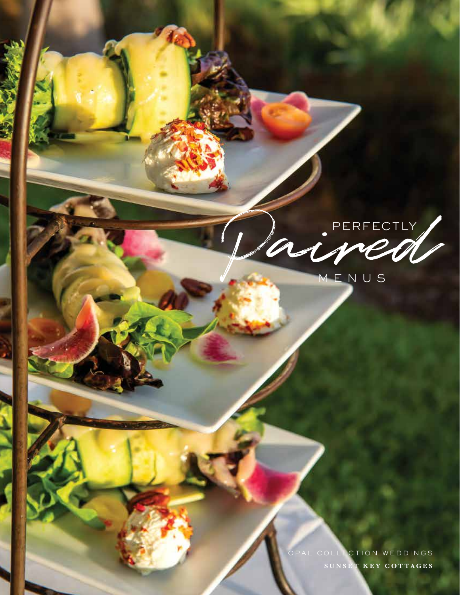

OPAL COLLECTION WEDDINGS **SUNSET KEY COTTAGES**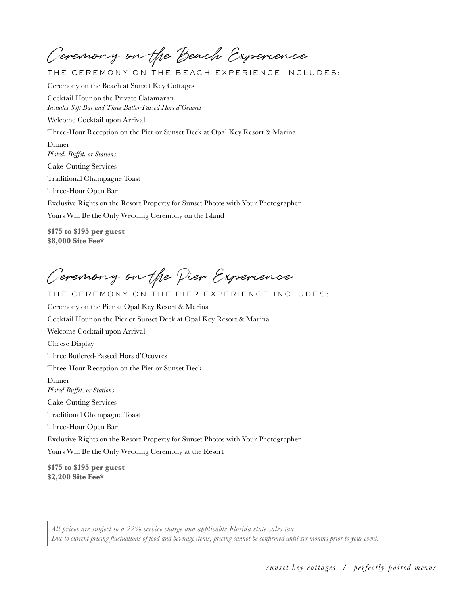Ceremony on the Beach Experience

THE CEREMONY ON THE BEACH EXPERIENCE INCLUDES:

Ceremony on the Beach at Sunset Key Cottages Cocktail Hour on the Private Catamaran

*Includes Soft Bar and Three Butler-Passed Hors d'Oeuvres* 

Welcome Cocktail upon Arrival

Three-Hour Reception on the Pier or Sunset Deck at Opal Key Resort & Marina

Dinner *Plated, Buffet, or Stations* 

Cake-Cutting Services

Traditional Champagne Toast

Three-Hour Open Bar

Exclusive Rights on the Resort Property for Sunset Photos with Your Photographer

Yours Will Be the Only Wedding Ceremony on the Island

**\$175 to \$195 per guest \$8,000 Site Fee\*** 

Ceremony on the Pier Experience

THE CEREMONY ON THE PIER EXPERIENCE INCLUDES:

Ceremony on the Pier at Opal Key Resort & Marina Cocktail Hour on the Pier or Sunset Deck at Opal Key Resort & Marina Welcome Cocktail upon Arrival Cheese Display Three Butlered-Passed Hors d'Oeuvres Three-Hour Reception on the Pier or Sunset Deck Dinner *Plated,Buffet, or Stations*  Cake-Cutting Services Traditional Champagne Toast Three-Hour Open Bar Exclusive Rights on the Resort Property for Sunset Photos with Your Photographer Yours Will Be the Only Wedding Ceremony at the Resort

**\$175 to \$195 per guest \$2,200 Site Fee\***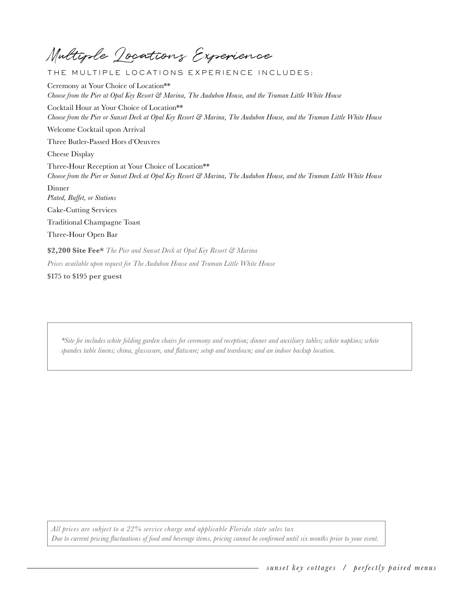Multiple Locations Experience

THE MULTIPLE LOCATIONS E XPERIENCE INCLUDES:

Ceremony at Your Choice of Location\*\* *Choose from the Pier at Opal Key Resort & Marina, The Audubon House, and the Truman Little White House* Cocktail Hour at Your Choice of Location\*\* *Choose from the Pier or Sunset Deck at Opal Key Resort & Marina, The Audubon House, and the Truman Little White House* Welcome Cocktail upon Arrival Three Butler-Passed Hors d'Oeuvres Cheese Display Three-Hour Reception at Your Choice of Location\*\* *Choose from the Pier or Sunset Deck at Opal Key Resort & Marina, The Audubon House, and the Truman Little White House* Dinner *Plated, Buffet, or Stations*  Cake-Cutting Services Traditional Champagne Toast Three-Hour Open Bar **\$2,200 Site Fee\*** *The Pier and Sunset Deck at Opal Key Resort & Marina Prices available upon request for The Audubon House and Truman Little White House* **\$175 to \$195 per guest** 

*\*Site fee includes white folding garden chairs for ceremony and reception; dinner and auxiliary tables; white napkins; white spandex table linens; china, glassware, and flatware; setup and teardown; and an indoor backup location.*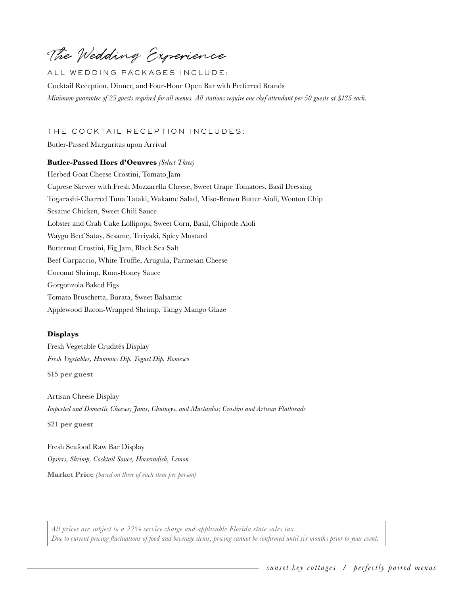The Wedding Experience

ALL WEDDING PACKAGES INCLUDE:

Cocktail Reception, Dinner, and Four-Hour Open Bar with Preferred Brands *Minimum guarantee of 25 guests required for all menus. All stations require one chef attendant per 50 guests at \$135 each.*

THE COCKTAIL RECEPTION INCLUDES:

Butler-Passed Margaritas upon Arrival

**Butler-Passed Hors d'Oeuvres** *(Select Three)*  Herbed Goat Cheese Crostini, Tomato Jam Caprese Skewer with Fresh Mozzarella Cheese, Sweet Grape Tomatoes, Basil Dressing Togarashi-Charred Tuna Tataki, Wakame Salad, Miso-Brown Butter Aioli, Wonton Chip Sesame Chicken, Sweet Chili Sauce Lobster and Crab Cake Lollipops, Sweet Corn, Basil, Chipotle Aioli Waygu Beef Satay, Sesame, Teriyaki, Spicy Mustard Butternut Crostini, Fig Jam, Black Sea Salt Beef Carpaccio, White Truffle, Arugula, Parmesan Cheese Coconut Shrimp, Rum-Honey Sauce Gorgonzola Baked Figs Tomato Bruschetta, Burata, Sweet Balsamic Applewood Bacon-Wrapped Shrimp, Tangy Mango Glaze

#### **Displays**

Fresh Vegetable Crudités Display *Fresh Vegetables, Hummus Dip, Yogurt Dip, Romesco*

**\$15 per guest** 

**\$21 per guest** 

Artisan Cheese Display *Imported and Domestic Cheeses; Jams, Chutneys, and Mustardos; Crostini and Artisan Flatbreads*

Fresh Seafood Raw Bar Display *Oysters, Shrimp, Cocktail Sauce, Horseradish, Lemon*

**Market Price** *(based on three of each item per person)*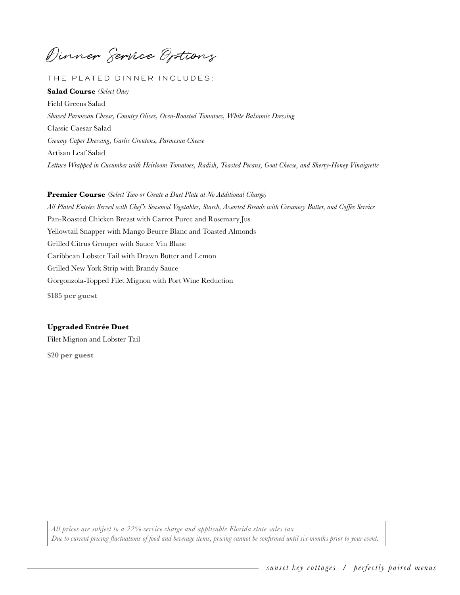Dinner Service Options

# THE PLATED DINNER INCLUDES:

**Salad Course** *(Select One)*  Field Greens Salad *Shaved Parmesan Cheese, Country Olives, Oven-Roasted Tomatoes, White Balsamic Dressing* Classic Caesar Salad *Creamy Caper Dressing, Garlic Croutons, Parmesan Cheese* Artisan Leaf Salad *Lettuce Wrapped in Cucumber with Heirloom Tomatoes, Radish, Toasted Pecans, Goat Cheese, and Sherry-Honey Vinaigrette*

**Premier Course** *(Select Two or Create a Duet Plate at No Additional Charge) All Plated Entrées Served with Chef's Seasonal Vegetables, Starch, Assorted Breads with Creamery Butter, and Coffee Service* Pan-Roasted Chicken Breast with Carrot Puree and Rosemary Jus Yellowtail Snapper with Mango Beurre Blanc and Toasted Almonds Grilled Citrus Grouper with Sauce Vin Blanc Caribbean Lobster Tail with Drawn Butter and Lemon Grilled New York Strip with Brandy Sauce Gorgonzola-Topped Filet Mignon with Port Wine Reduction **\$185 per guest** 

### **Upgraded Entrée Duet**

Filet Mignon and Lobster Tail **\$20 per guest**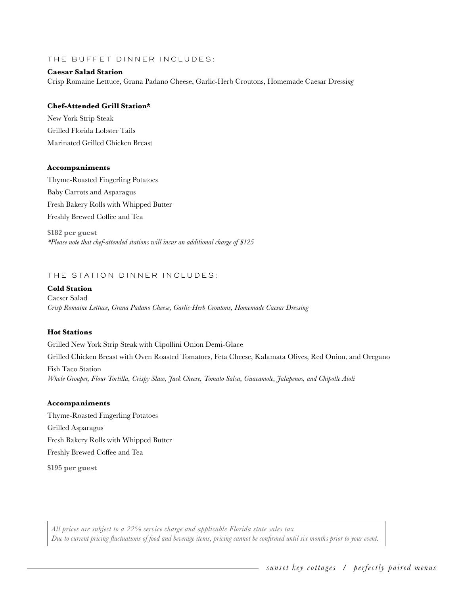THE BUFFET DINNER INCLUDES:

## **Caesar Salad Station**

Crisp Romaine Lettuce, Grana Padano Cheese, Garlic-Herb Croutons, Homemade Caesar Dressi*ng*

## **Chef-Attended Grill Station\***

New York Strip Steak Grilled Florida Lobster Tails Marinated Grilled Chicken Breast

## **Accompaniments**

Thyme-Roasted Fingerling Potatoes Baby Carrots and Asparagus Fresh Bakery Rolls with Whipped Butter Freshly Brewed Coffee and Tea

**\$182 per guest**  *\*Please note that chef-attended stations will incur an additional charge of \$125*

# THE STATION DINNER INCLUDES:

# **Cold Station**

Caeser Salad *Crisp Romaine Lettuce, Grana Padano Cheese, Garlic-Herb Croutons, Homemade Caesar Dressing*

#### **Hot Stations**

Grilled New York Strip Steak with Cipollini Onion Demi-Glace Grilled Chicken Breast with Oven Roasted Tomatoes, Feta Cheese, Kalamata Olives, Red Onion, and Oregano Fish Taco Station *Whole Grouper, Flour Tortilla, Crispy Slaw, Jack Cheese, Tomato Salsa, Guacamole, Jalapenos, and Chipotle Aioli*

#### **Accompaniments**

Thyme-Roasted Fingerling Potatoes Grilled Asparagus Fresh Bakery Rolls with Whipped Butter Freshly Brewed Coffee and Tea **\$195 per guest**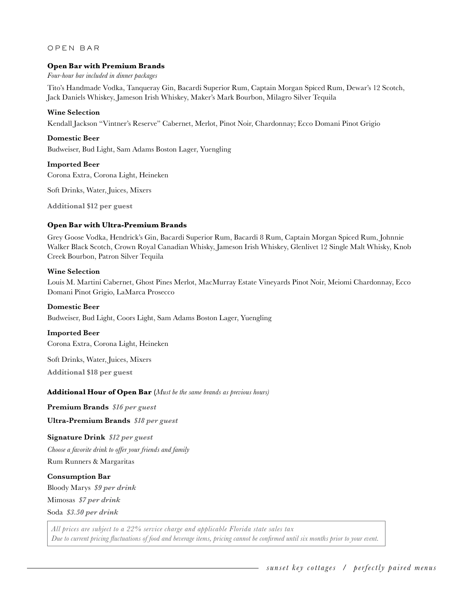## OPEN BAR

# **Open Bar with Premium Brands**

*Four-hour bar included in dinner packages*

Tito's Handmade Vodka, Tanqueray Gin, Bacardi Superior Rum, Captain Morgan Spiced Rum, Dewar's 12 Scotch, Jack Daniels Whiskey, Jameson Irish Whiskey, Maker's Mark Bourbon, Milagro Silver Tequila

### **Wine Selection**

Kendall Jackson "Vintner's Reserve" Cabernet, Merlot, Pinot Noir, Chardonnay; Ecco Domani Pinot Grigio

## **Domestic Beer**

Budweiser, Bud Light, Sam Adams Boston Lager, Yuengling

#### **Imported Beer**

Corona Extra, Corona Light, Heineken

Soft Drinks, Water, Juices, Mixers

**Additional \$12 per guest** 

# **Open Bar with Ultra-Premium Brands**

Grey Goose Vodka, Hendrick's Gin, Bacardi Superior Rum, Bacardi 8 Rum, Captain Morgan Spiced Rum, Johnnie Walker Black Scotch, Crown Royal Canadian Whisky, Jameson Irish Whiskey, Glenlivet 12 Single Malt Whisky, Knob Creek Bourbon, Patron Silver Tequila

## **Wine Selection**

Louis M. Martini Cabernet, Ghost Pines Merlot, MacMurray Estate Vineyards Pinot Noir, Meiomi Chardonnay, Ecco Domani Pinot Grigio, LaMarca Prosecco

#### **Domestic Beer**

Budweiser, Bud Light, Coors Light, Sam Adams Boston Lager, Yuengling

# **Imported Beer**

Corona Extra, Corona Light, Heineken

Soft Drinks, Water, Juices, Mixers

**Additional \$18 per guest** 

#### **Additional Hour of Open Bar (***Must be the same brands as previous hours)*

**Premium Brands** *\$16 per guest* 

 **Ultra-Premium Brands** *\$18 per guest* 

# **Signature Drink** *\$12 per guest*

*Choose a favorite drink to offer your friends and family*

Rum Runners & Margaritas

#### **Consumption Bar**

Bloody Marys *\$9 per drink* 

Mimosas *\$7 per drink* 

Soda *\$3.50 per drink*